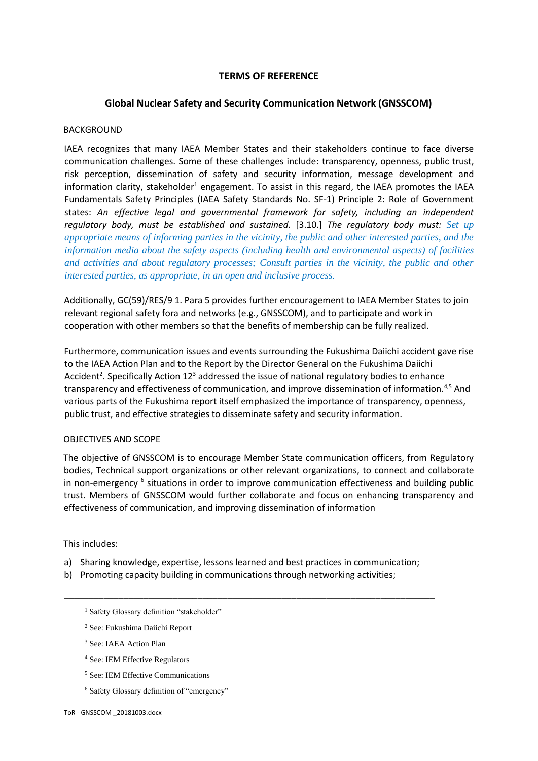### **TERMS OF REFERENCE**

### **Global Nuclear Safety and Security Communication Network (GNSSCOM)**

#### BACKGROUND

IAEA recognizes that many IAEA Member States and their stakeholders continue to face diverse communication challenges. Some of these challenges include: transparency, openness, public trust, risk perception, dissemination of safety and security information, message development and information clarity, stakeholder<sup>1</sup> engagement. To assist in this regard, the IAEA promotes the IAEA Fundamentals Safety Principles (IAEA Safety Standards No. SF-1) Principle 2: Role of Government states: *An effective legal and governmental framework for safety, including an independent regulatory body, must be established and sustained.* [3.10.] *The regulatory body must: Set up appropriate means of informing parties in the vicinity, the public and other interested parties, and the information media about the safety aspects (including health and environmental aspects) of facilities and activities and about regulatory processes; Consult parties in the vicinity, the public and other interested parties, as appropriate, in an open and inclusive process.* 

Additionally, GC(59)/RES/9 1. Para 5 provides further encouragement to IAEA Member States to join relevant regional safety fora and networks (e.g., GNSSCOM), and to participate and work in cooperation with other members so that the benefits of membership can be fully realized.

Furthermore, communication issues and events surrounding the Fukushima Daiichi accident gave rise to the IAEA Action Plan and to the Report by the Director General on the Fukushima Daiichi Accident<sup>2</sup>. Specifically Action 12<sup>3</sup> addressed the issue of national regulatory bodies to enhance transparency and effectiveness of communication, and improve dissemination of information.<sup>4,5</sup> And various parts of the Fukushima report itself emphasized the importance of transparency, openness, public trust, and effective strategies to disseminate safety and security information.

#### OBJECTIVES AND SCOPE

The objective of GNSSCOM is to encourage Member State communication officers, from Regulatory bodies, Technical support organizations or other relevant organizations, to connect and collaborate in non-emergency <sup>6</sup> situations in order to improve communication effectiveness and building public trust. Members of GNSSCOM would further collaborate and focus on enhancing transparency and effectiveness of communication, and improving dissemination of information

#### This includes:

a) Sharing knowledge, expertise, lessons learned and best practices in communication;

\_\_\_\_\_\_\_\_\_\_\_\_\_\_\_\_\_\_\_\_\_\_\_\_\_\_\_\_\_\_\_\_\_\_\_\_\_\_\_\_\_\_\_\_\_\_\_\_\_\_\_\_\_\_\_\_\_\_\_\_\_\_\_\_\_\_\_\_\_\_\_\_\_\_\_

- b) Promoting capacity building in communications through networking activities;
	- <sup>1</sup> Safety Glossary definition "stakeholder"
	- <sup>2</sup> See: Fukushima Daiichi Report
	- <sup>3</sup> See: IAEA Action Plan
	- <sup>4</sup> See: IEM Effective Regulators
	- <sup>5</sup> See: IEM Effective Communications
	- <sup>6</sup> Safety Glossary definition of "emergency"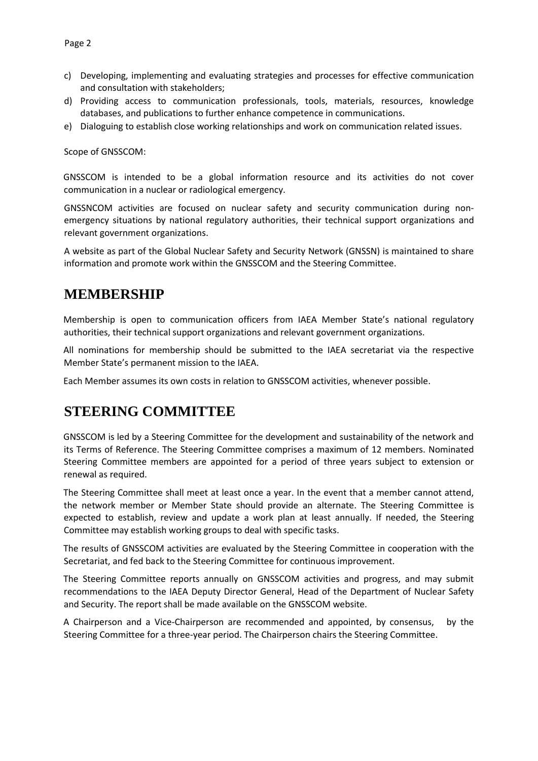- c) Developing, implementing and evaluating strategies and processes for effective communication and consultation with stakeholders;
- d) Providing access to communication professionals, tools, materials, resources, knowledge databases, and publications to further enhance competence in communications.
- e) Dialoguing to establish close working relationships and work on communication related issues.

Scope of GNSSCOM:

GNSSCOM is intended to be a global information resource and its activities do not cover communication in a nuclear or radiological emergency.

GNSSNCOM activities are focused on nuclear safety and security communication during nonemergency situations by national regulatory authorities, their technical support organizations and relevant government organizations.

A website as part of the Global Nuclear Safety and Security Network (GNSSN) is maintained to share information and promote work within the GNSSCOM and the Steering Committee.

## **MEMBERSHIP**

Membership is open to communication officers from IAEA Member State's national regulatory authorities, their technical support organizations and relevant government organizations.

All nominations for membership should be submitted to the IAEA secretariat via the respective Member State's permanent mission to the IAEA.

Each Member assumes its own costs in relation to GNSSCOM activities, whenever possible.

## **STEERING COMMITTEE**

GNSSCOM is led by a Steering Committee for the development and sustainability of the network and its Terms of Reference. The Steering Committee comprises a maximum of 12 members. Nominated Steering Committee members are appointed for a period of three years subject to extension or renewal as required.

The Steering Committee shall meet at least once a year. In the event that a member cannot attend, the network member or Member State should provide an alternate. The Steering Committee is expected to establish, review and update a work plan at least annually. If needed, the Steering Committee may establish working groups to deal with specific tasks.

The results of GNSSCOM activities are evaluated by the Steering Committee in cooperation with the Secretariat, and fed back to the Steering Committee for continuous improvement.

The Steering Committee reports annually on GNSSCOM activities and progress, and may submit recommendations to the IAEA Deputy Director General, Head of the Department of Nuclear Safety and Security. The report shall be made available on the GNSSCOM website.

A Chairperson and a Vice-Chairperson are recommended and appointed, by consensus, by the Steering Committee for a three-year period. The Chairperson chairs the Steering Committee.